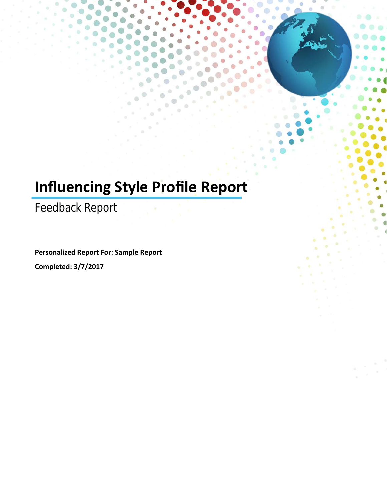# **Influencing Style Profile Report**

Feedback Report

**Personalized Report For: Sample Report**

**Completed: 3/7/2017**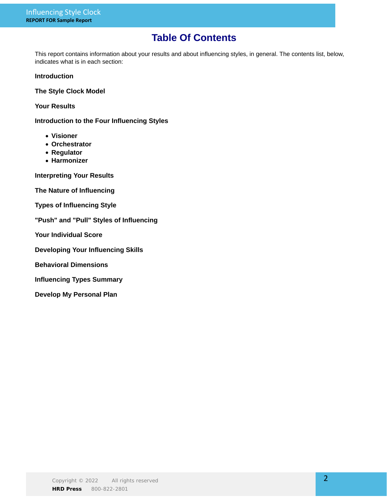# **Table Of Contents**

This report contains information about your results and about influencing styles, in general. The contents list, below, indicates what is in each section:

### **Introduction**

**The Style Clock Model**

**Your Results**

**Introduction to the Four Influencing Styles**

- **Visioner**
- **Orchestrator**
- **Regulator**
- **Harmonizer**

**Interpreting Your Results**

**The Nature of Influencing**

- **Types of Influencing Style**
- **"Push" and "Pull" Styles of Influencing**
- **Your Individual Score**
- **Developing Your Influencing Skills**
- **Behavioral Dimensions**
- **Influencing Types Summary**
- **Develop My Personal Plan**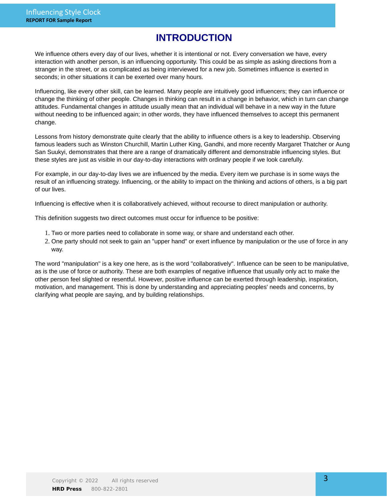# **INTRODUCTION**

We influence others every day of our lives, whether it is intentional or not. Every conversation we have, every interaction with another person, is an influencing opportunity. This could be as simple as asking directions from a stranger in the street, or as complicated as being interviewed for a new job. Sometimes influence is exerted in seconds; in other situations it can be exerted over many hours.

Influencing, like every other skill, can be learned. Many people are intuitively good influencers; they can influence or change the thinking of other people. Changes in thinking can result in a change in behavior, which in turn can change attitudes. Fundamental changes in attitude usually mean that an individual will behave in a new way in the future without needing to be influenced again; in other words, they have influenced themselves to accept this permanent change.

Lessons from history demonstrate quite clearly that the ability to influence others is a key to leadership. Observing famous leaders such as Winston Churchill, Martin Luther King, Gandhi, and more recently Margaret Thatcher or Aung San Suukyi, demonstrates that there are a range of dramatically different and demonstrable influencing styles. But these styles are just as visible in our day-to-day interactions with ordinary people if we look carefully.

For example, in our day-to-day lives we are influenced by the media. Every item we purchase is in some ways the result of an influencing strategy. Influencing, or the ability to impact on the thinking and actions of others, is a big part of our lives.

Influencing is effective when it is collaboratively achieved, without recourse to direct manipulation or authority.

This definition suggests two direct outcomes must occur for influence to be positive:

- 1. Two or more parties need to collaborate in some way, or share and understand each other.
- 2. One party should not seek to gain an "upper hand" or exert influence by manipulation or the use of force in any way.

The word "manipulation" is a key one here, as is the word "collaboratively". Influence can be seen to be manipulative, as is the use of force or authority. These are both examples of negative influence that usually only act to make the other person feel slighted or resentful. However, positive influence can be exerted through leadership, inspiration, motivation, and management. This is done by understanding and appreciating peoples' needs and concerns, by clarifying what people are saying, and by building relationships.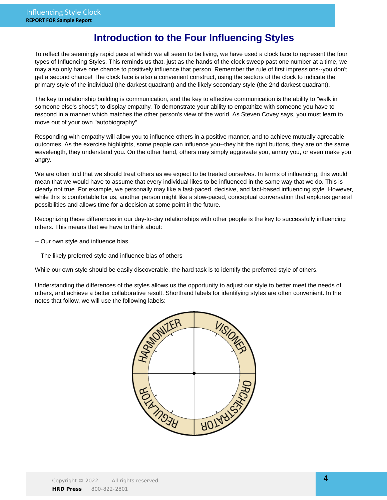### **Introduction to the Four Influencing Styles**

To reflect the seemingly rapid pace at which we all seem to be living, we have used a clock face to represent the four types of Influencing Styles. This reminds us that, just as the hands of the clock sweep past one number at a time, we may also only have one chance to positively influence that person. Remember the rule of first impressions--you don't get a second chance! The clock face is also a convenient construct, using the sectors of the clock to indicate the primary style of the individual (the darkest quadrant) and the likely secondary style (the 2nd darkest quadrant).

The key to relationship building is communication, and the key to effective communication is the ability to "walk in someone else's shoes"; to display empathy. To demonstrate your ability to empathize with someone you have to respond in a manner which matches the other person's view of the world. As Steven Covey says, you must learn to move out of your own "autobiography".

Responding with empathy will allow you to influence others in a positive manner, and to achieve mutually agreeable outcomes. As the exercise highlights, some people can influence you--they hit the right buttons, they are on the same wavelength, they understand you. On the other hand, others may simply aggravate you, annoy you, or even make you angry.

We are often told that we should treat others as we expect to be treated ourselves. In terms of influencing, this would mean that we would have to assume that every individual likes to be influenced in the same way that we do. This is clearly not true. For example, we personally may like a fast-paced, decisive, and fact-based influencing style. However, while this is comfortable for us, another person might like a slow-paced, conceptual conversation that explores general possibilities and allows time for a decision at some point in the future.

Recognizing these differences in our day-to-day relationships with other people is the key to successfully influencing others. This means that we have to think about:

- -- Our own style and influence bias
- -- The likely preferred style and influence bias of others

While our own style should be easily discoverable, the hard task is to identify the preferred style of others.

Understanding the differences of the styles allows us the opportunity to adjust our style to better meet the needs of others, and achieve a better collaborative result. Shorthand labels for identifying styles are often convenient. In the notes that follow, we will use the following labels:

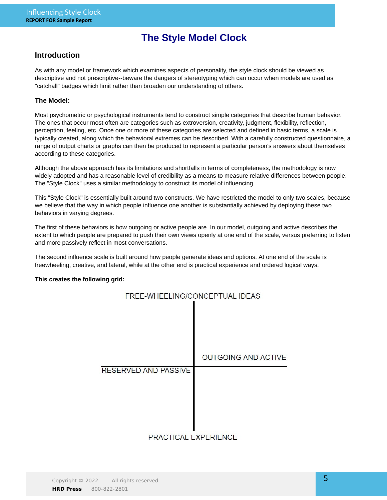# **The Style Model Clock**

### **Introduction**

As with any model or framework which examines aspects of personality, the style clock should be viewed as descriptive and not prescriptive--beware the dangers of stereotyping which can occur when models are used as "catchall" badges which limit rather than broaden our understanding of others.

### **The Model:**

Most psychometric or psychological instruments tend to construct simple categories that describe human behavior. The ones that occur most often are categories such as extroversion, creativity, judgment, flexibility, reflection, perception, feeling, etc. Once one or more of these categories are selected and defined in basic terms, a scale is typically created, along which the behavioral extremes can be described. With a carefully constructed questionnaire, a range of output charts or graphs can then be produced to represent a particular person's answers about themselves according to these categories.

Although the above approach has its limitations and shortfalls in terms of completeness, the methodology is now widely adopted and has a reasonable level of credibility as a means to measure relative differences between people. The "Style Clock" uses a similar methodology to construct its model of influencing.

This "Style Clock" is essentially built around two constructs. We have restricted the model to only two scales, because we believe that the way in which people influence one another is substantially achieved by deploying these two behaviors in varying degrees.

The first of these behaviors is how outgoing or active people are. In our model, outgoing and active describes the extent to which people are prepared to push their own views openly at one end of the scale, versus preferring to listen and more passively reflect in most conversations.

The second influence scale is built around how people generate ideas and options. At one end of the scale is freewheeling, creative, and lateral, while at the other end is practical experience and ordered logical ways.

### **This creates the following grid:**

| FREE-WHEELING/CONCEPTUAL IDEAS |                            |
|--------------------------------|----------------------------|
|                                |                            |
|                                | <b>OUTGOING AND ACTIVE</b> |
| RESERVED AND PASSIVE           |                            |
| DOAGTIOAL EVOEDIENGE           |                            |

PRACTICAL EXPERIENCE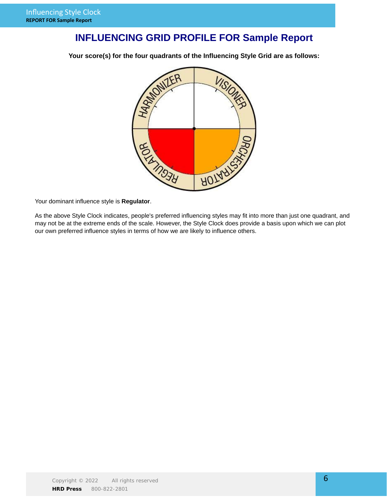# **INFLUENCING GRID PROFILE FOR Sample Report**

**Your score(s) for the four quadrants of the Influencing Style Grid are as follows:**



Your dominant influence style is **Regulator**.

As the above Style Clock indicates, people's preferred influencing styles may fit into more than just one quadrant, and may not be at the extreme ends of the scale. However, the Style Clock does provide a basis upon which we can plot our own preferred influence styles in terms of how we are likely to influence others.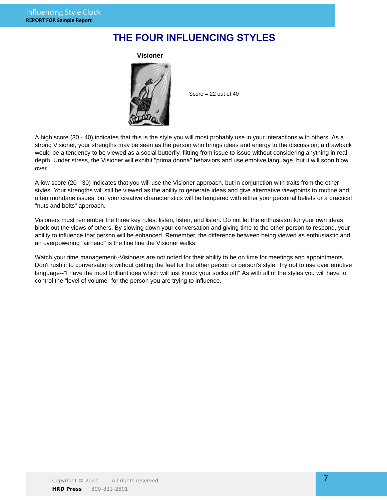## **THE FOUR INFLUENCING STYLES**



Score  $= 22$  out of  $40$ 

A high score (30 - 40) indicates that this is the style you will most probably use in your interactions with others. As a strong Visioner, your strengths may be seen as the person who brings ideas and energy to the discussion; a drawback would be a tendency to be viewed as a social butterfly, flitting from issue to issue without considering anything in real depth. Under stress, the Visioner will exhibit "prima donna" behaviors and use emotive language, but it will soon blow over.

A low score (20 - 30) indicates that you will use the Visioner approach, but in conjunction with traits from the other styles. Your strengths will still be viewed as the ability to generate ideas and give alternative viewpoints to routine and often mundane issues, but your creative characteristics will be tempered with either your personal beliefs or a practical "nuts and bolts" approach.

Visioners must remember the three key rules: listen, listen, and listen. Do not let the enthusiasm for your own ideas block out the views of others. By slowing down your conversation and giving time to the other person to respond, your ability to influence that person will be enhanced. Remember, the difference between being viewed as enthusiastic and an overpowering "airhead" is the fine line the Visioner walks.

Watch your time management--Visioners are not noted for their ability to be on time for meetings and appointments. Don't rush into conversations without getting the feel for the other person or person's style. Try not to use over emotive language--"I have the most brilliant idea which will just knock your socks off!" As with all of the styles you will have to control the "level of volume" for the person you are trying to influence.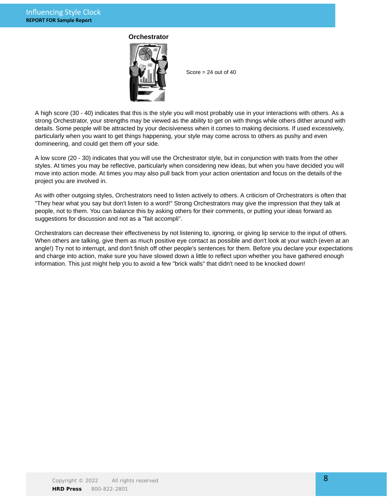### **Orchestrator**



Score  $= 24$  out of  $40$ 

A high score (30 - 40) indicates that this is the style you will most probably use in your interactions with others. As a strong Orchestrator, your strengths may be viewed as the ability to get on with things while others dither around with details. Some people will be attracted by your decisiveness when it comes to making decisions. If used excessively, particularly when you want to get things happening, your style may come across to others as pushy and even domineering, and could get them off your side.

A low score (20 - 30) indicates that you will use the Orchestrator style, but in conjunction with traits from the other styles. At times you may be reflective, particularly when considering new ideas, but when you have decided you will move into action mode. At times you may also pull back from your action orientation and focus on the details of the project you are involved in.

As with other outgoing styles, Orchestrators need to listen actively to others. A criticism of Orchestrators is often that "They hear what you say but don't listen to a word!" Strong Orchestrators may give the impression that they talk at people, not to them. You can balance this by asking others for their comments, or putting your ideas forward as suggestions for discussion and not as a "fait accompli".

Orchestrators can decrease their effectiveness by not listening to, ignoring, or giving lip service to the input of others. When others are talking, give them as much positive eye contact as possible and don't look at your watch (even at an angle!) Try not to interrupt, and don't finish off other people's sentences for them. Before you declare your expectations and charge into action, make sure you have slowed down a little to reflect upon whether you have gathered enough information. This just might help you to avoid a few "brick walls" that didn't need to be knocked down!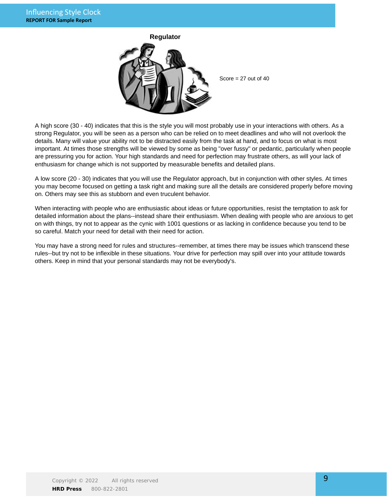

A high score (30 - 40) indicates that this is the style you will most probably use in your interactions with others. As a strong Regulator, you will be seen as a person who can be relied on to meet deadlines and who will not overlook the details. Many will value your ability not to be distracted easily from the task at hand, and to focus on what is most important. At times those strengths will be viewed by some as being "over fussy" or pedantic, particularly when people are pressuring you for action. Your high standards and need for perfection may frustrate others, as will your lack of enthusiasm for change which is not supported by measurable benefits and detailed plans.

A low score (20 - 30) indicates that you will use the Regulator approach, but in conjunction with other styles. At times you may become focused on getting a task right and making sure all the details are considered properly before moving on. Others may see this as stubborn and even truculent behavior.

When interacting with people who are enthusiastic about ideas or future opportunities, resist the temptation to ask for detailed information about the plans--instead share their enthusiasm. When dealing with people who are anxious to get on with things, try not to appear as the cynic with 1001 questions or as lacking in confidence because you tend to be so careful. Match your need for detail with their need for action.

You may have a strong need for rules and structures--remember, at times there may be issues which transcend these rules--but try not to be inflexible in these situations. Your drive for perfection may spill over into your attitude towards others. Keep in mind that your personal standards may not be everybody's.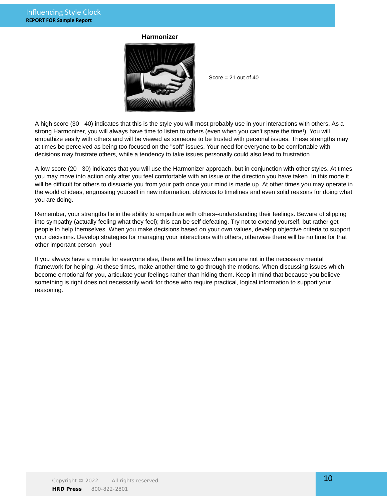### **Harmonizer**



Score  $= 21$  out of  $40$ 

A high score (30 - 40) indicates that this is the style you will most probably use in your interactions with others. As a strong Harmonizer, you will always have time to listen to others (even when you can't spare the time!). You will empathize easily with others and will be viewed as someone to be trusted with personal issues. These strengths may at times be perceived as being too focused on the "soft" issues. Your need for everyone to be comfortable with decisions may frustrate others, while a tendency to take issues personally could also lead to frustration.

A low score (20 - 30) indicates that you will use the Harmonizer approach, but in conjunction with other styles. At times you may move into action only after you feel comfortable with an issue or the direction you have taken. In this mode it will be difficult for others to dissuade you from your path once your mind is made up. At other times you may operate in the world of ideas, engrossing yourself in new information, oblivious to timelines and even solid reasons for doing what you are doing.

Remember, your strengths lie in the ability to empathize with others--understanding their feelings. Beware of slipping into sympathy (actually feeling what they feel); this can be self defeating. Try not to extend yourself, but rather get people to help themselves. When you make decisions based on your own values, develop objective criteria to support your decisions. Develop strategies for managing your interactions with others, otherwise there will be no time for that other important person--you!

If you always have a minute for everyone else, there will be times when you are not in the necessary mental framework for helping. At these times, make another time to go through the motions. When discussing issues which become emotional for you, articulate your feelings rather than hiding them. Keep in mind that because you believe something is right does not necessarily work for those who require practical, logical information to support your reasoning.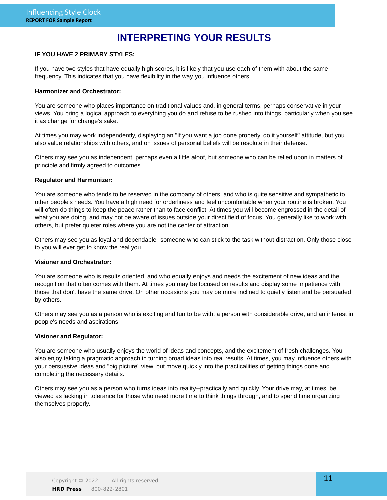# **INTERPRETING YOUR RESULTS**

### **IF YOU HAVE 2 PRIMARY STYLES:**

If you have two styles that have equally high scores, it is likely that you use each of them with about the same frequency. This indicates that you have flexibility in the way you influence others.

### **Harmonizer and Orchestrator:**

You are someone who places importance on traditional values and, in general terms, perhaps conservative in your views. You bring a logical approach to everything you do and refuse to be rushed into things, particularly when you see it as change for change's sake.

At times you may work independently, displaying an "If you want a job done properly, do it yourself" attitude, but you also value relationships with others, and on issues of personal beliefs will be resolute in their defense.

Others may see you as independent, perhaps even a little aloof, but someone who can be relied upon in matters of principle and firmly agreed to outcomes.

### **Regulator and Harmonizer:**

You are someone who tends to be reserved in the company of others, and who is quite sensitive and sympathetic to other people's needs. You have a high need for orderliness and feel uncomfortable when your routine is broken. You will often do things to keep the peace rather than to face conflict. At times you will become engrossed in the detail of what you are doing, and may not be aware of issues outside your direct field of focus. You generally like to work with others, but prefer quieter roles where you are not the center of attraction.

Others may see you as loyal and dependable--someone who can stick to the task without distraction. Only those close to you will ever get to know the real you.

### **Visioner and Orchestrator:**

You are someone who is results oriented, and who equally enjoys and needs the excitement of new ideas and the recognition that often comes with them. At times you may be focused on results and display some impatience with those that don't have the same drive. On other occasions you may be more inclined to quietly listen and be persuaded by others.

Others may see you as a person who is exciting and fun to be with, a person with considerable drive, and an interest in people's needs and aspirations.

### **Visioner and Regulator:**

You are someone who usually enjoys the world of ideas and concepts, and the excitement of fresh challenges. You also enjoy taking a pragmatic approach in turning broad ideas into real results. At times, you may influence others with your persuasive ideas and "big picture" view, but move quickly into the practicalities of getting things done and completing the necessary details.

Others may see you as a person who turns ideas into reality--practically and quickly. Your drive may, at times, be viewed as lacking in tolerance for those who need more time to think things through, and to spend time organizing themselves properly.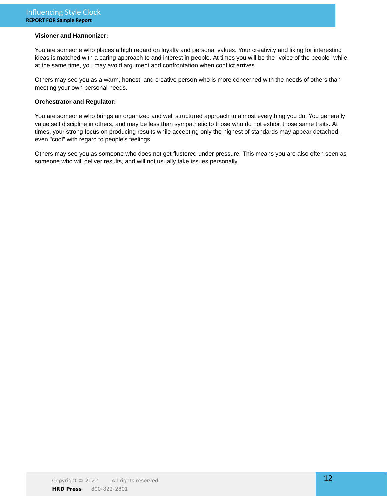### **Visioner and Harmonizer:**

You are someone who places a high regard on loyalty and personal values. Your creativity and liking for interesting ideas is matched with a caring approach to and interest in people. At times you will be the "voice of the people" while, at the same time, you may avoid argument and confrontation when conflict arrives.

Others may see you as a warm, honest, and creative person who is more concerned with the needs of others than meeting your own personal needs.

### **Orchestrator and Regulator:**

You are someone who brings an organized and well structured approach to almost everything you do. You generally value self discipline in others, and may be less than sympathetic to those who do not exhibit those same traits. At times, your strong focus on producing results while accepting only the highest of standards may appear detached, even "cool" with regard to people's feelings.

Others may see you as someone who does not get flustered under pressure. This means you are also often seen as someone who will deliver results, and will not usually take issues personally.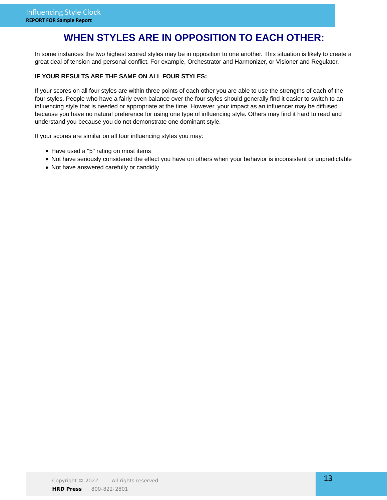# **WHEN STYLES ARE IN OPPOSITION TO EACH OTHER:**

In some instances the two highest scored styles may be in opposition to one another. This situation is likely to create a great deal of tension and personal conflict. For example, Orchestrator and Harmonizer, or Visioner and Regulator.

### **IF YOUR RESULTS ARE THE SAME ON ALL FOUR STYLES:**

If your scores on all four styles are within three points of each other you are able to use the strengths of each of the four styles. People who have a fairly even balance over the four styles should generally find it easier to switch to an influencing style that is needed or appropriate at the time. However, your impact as an influencer may be diffused because you have no natural preference for using one type of influencing style. Others may find it hard to read and understand you because you do not demonstrate one dominant style.

If your scores are similar on all four influencing styles you may:

- Have used a "5" rating on most items
- Not have seriously considered the effect you have on others when your behavior is inconsistent or unpredictable
- Not have answered carefully or candidly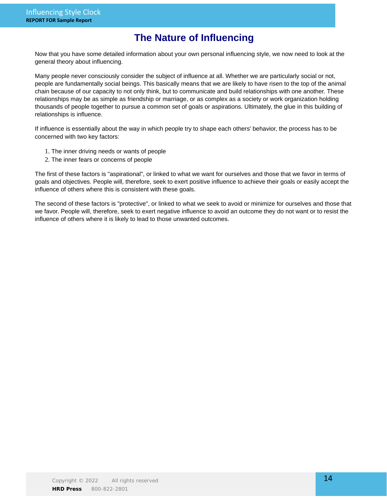# **The Nature of Influencing**

Now that you have some detailed information about your own personal influencing style, we now need to look at the general theory about influencing.

Many people never consciously consider the subject of influence at all. Whether we are particularly social or not, people are fundamentally social beings. This basically means that we are likely to have risen to the top of the animal chain because of our capacity to not only think, but to communicate and build relationships with one another. These relationships may be as simple as friendship or marriage, or as complex as a society or work organization holding thousands of people together to pursue a common set of goals or aspirations. Ultimately, the glue in this building of relationships is influence.

If influence is essentially about the way in which people try to shape each others' behavior, the process has to be concerned with two key factors:

- 1. The inner driving needs or wants of people
- 2. The inner fears or concerns of people

The first of these factors is "aspirational", or linked to what we want for ourselves and those that we favor in terms of goals and objectives. People will, therefore, seek to exert positive influence to achieve their goals or easily accept the influence of others where this is consistent with these goals.

The second of these factors is "protective", or linked to what we seek to avoid or minimize for ourselves and those that we favor. People will, therefore, seek to exert negative influence to avoid an outcome they do not want or to resist the influence of others where it is likely to lead to those unwanted outcomes.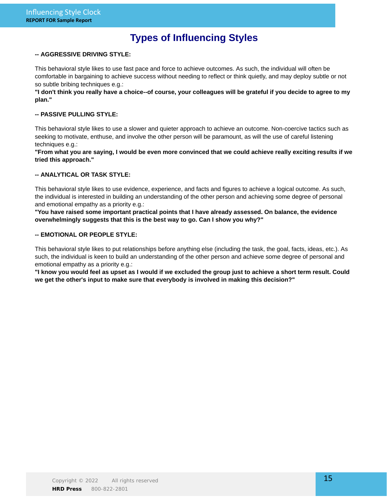# **Types of Influencing Styles**

### **-- AGGRESSIVE DRIVING STYLE:**

This behavioral style likes to use fast pace and force to achieve outcomes. As such, the individual will often be comfortable in bargaining to achieve success without needing to reflect or think quietly, and may deploy subtle or not so subtle bribing techniques e.g.:

**"I don't think you really have a choice--of course, your colleagues will be grateful if you decide to agree to my plan."**

### **-- PASSIVE PULLING STYLE:**

This behavioral style likes to use a slower and quieter approach to achieve an outcome. Non-coercive tactics such as seeking to motivate, enthuse, and involve the other person will be paramount, as will the use of careful listening techniques e.g.:

**"From what you are saying, I would be even more convinced that we could achieve really exciting results if we tried this approach."**

### **-- ANALYTICAL OR TASK STYLE:**

This behavioral style likes to use evidence, experience, and facts and figures to achieve a logical outcome. As such, the individual is interested in building an understanding of the other person and achieving some degree of personal and emotional empathy as a priority e.g.:

**"You have raised some important practical points that I have already assessed. On balance, the evidence overwhelmingly suggests that this is the best way to go. Can I show you why?"**

### **-- EMOTIONAL OR PEOPLE STYLE:**

This behavioral style likes to put relationships before anything else (including the task, the goal, facts, ideas, etc.). As such, the individual is keen to build an understanding of the other person and achieve some degree of personal and emotional empathy as a priority e.g.:

**"I know you would feel as upset as I would if we excluded the group just to achieve a short term result. Could we get the other's input to make sure that everybody is involved in making this decision?"**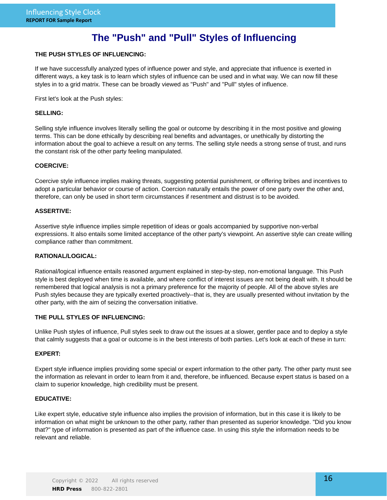# **The "Push" and "Pull" Styles of Influencing**

### **THE PUSH STYLES OF INFLUENCING:**

If we have successfully analyzed types of influence power and style, and appreciate that influence is exerted in different ways, a key task is to learn which styles of influence can be used and in what way. We can now fill these styles in to a grid matrix. These can be broadly viewed as "Push" and "Pull" styles of influence.

First let's look at the Push styles:

### **SELLING:**

Selling style influence involves literally selling the goal or outcome by describing it in the most positive and glowing terms. This can be done ethically by describing real benefits and advantages, or unethically by distorting the information about the goal to achieve a result on any terms. The selling style needs a strong sense of trust, and runs the constant risk of the other party feeling manipulated.

### **COERCIVE:**

Coercive style influence implies making threats, suggesting potential punishment, or offering bribes and incentives to adopt a particular behavior or course of action. Coercion naturally entails the power of one party over the other and, therefore, can only be used in short term circumstances if resentment and distrust is to be avoided.

### **ASSERTIVE:**

Assertive style influence implies simple repetition of ideas or goals accompanied by supportive non-verbal expressions. It also entails some limited acceptance of the other party's viewpoint. An assertive style can create willing compliance rather than commitment.

### **RATIONAL/LOGICAL:**

Rational/logical influence entails reasoned argument explained in step-by-step, non-emotional language. This Push style is best deployed when time is available, and where conflict of interest issues are not being dealt with. It should be remembered that logical analysis is not a primary preference for the majority of people. All of the above styles are Push styles because they are typically exerted proactively--that is, they are usually presented without invitation by the other party, with the aim of seizing the conversation initiative.

### **THE PULL STYLES OF INFLUENCING:**

Unlike Push styles of influence, Pull styles seek to draw out the issues at a slower, gentler pace and to deploy a style that calmly suggests that a goal or outcome is in the best interests of both parties. Let's look at each of these in turn:

### **EXPERT:**

Expert style influence implies providing some special or expert information to the other party. The other party must see the information as relevant in order to learn from it and, therefore, be influenced. Because expert status is based on a claim to superior knowledge, high credibility must be present.

### **EDUCATIVE:**

Like expert style, educative style influence also implies the provision of information, but in this case it is likely to be information on what might be unknown to the other party, rather than presented as superior knowledge. "Did you know that?" type of information is presented as part of the influence case. In using this style the information needs to be relevant and reliable.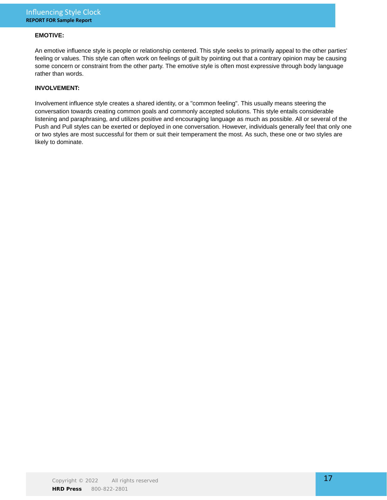### **EMOTIVE:**

An emotive influence style is people or relationship centered. This style seeks to primarily appeal to the other parties' feeling or values. This style can often work on feelings of guilt by pointing out that a contrary opinion may be causing some concern or constraint from the other party. The emotive style is often most expressive through body language rather than words.

### **INVOLVEMENT:**

Involvement influence style creates a shared identity, or a "common feeling". This usually means steering the conversation towards creating common goals and commonly accepted solutions. This style entails considerable listening and paraphrasing, and utilizes positive and encouraging language as much as possible. All or several of the Push and Pull styles can be exerted or deployed in one conversation. However, individuals generally feel that only one or two styles are most successful for them or suit their temperament the most. As such, these one or two styles are likely to dominate.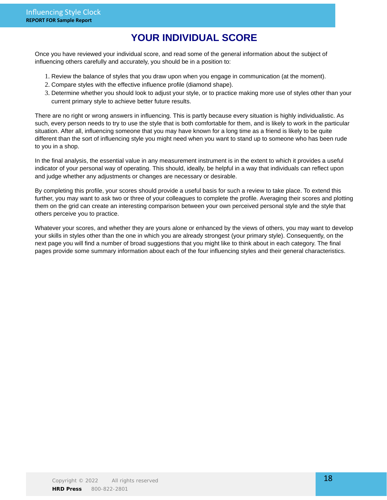# **YOUR INDIVIDUAL SCORE**

Once you have reviewed your individual score, and read some of the general information about the subject of influencing others carefully and accurately, you should be in a position to:

- 1. Review the balance of styles that you draw upon when you engage in communication (at the moment).
- 2. Compare styles with the effective influence profile (diamond shape).
- Determine whether you should look to adjust your style, or to practice making more use of styles other than your 3. current primary style to achieve better future results.

There are no right or wrong answers in influencing. This is partly because every situation is highly individualistic. As such, every person needs to try to use the style that is both comfortable for them, and is likely to work in the particular situation. After all, influencing someone that you may have known for a long time as a friend is likely to be quite different than the sort of influencing style you might need when you want to stand up to someone who has been rude to you in a shop.

In the final analysis, the essential value in any measurement instrument is in the extent to which it provides a useful indicator of your personal way of operating. This should, ideally, be helpful in a way that individuals can reflect upon and judge whether any adjustments or changes are necessary or desirable.

By completing this profile, your scores should provide a useful basis for such a review to take place. To extend this further, you may want to ask two or three of your colleagues to complete the profile. Averaging their scores and plotting them on the grid can create an interesting comparison between your own perceived personal style and the style that others perceive you to practice.

Whatever your scores, and whether they are yours alone or enhanced by the views of others, you may want to develop your skills in styles other than the one in which you are already strongest (your primary style). Consequently, on the next page you will find a number of broad suggestions that you might like to think about in each category. The final pages provide some summary information about each of the four influencing styles and their general characteristics.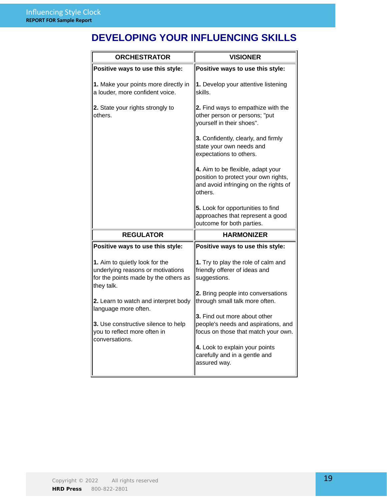# **DEVELOPING YOUR INFLUENCING SKILLS**

| <b>ORCHESTRATOR</b>                                                                                                       | <b>VISIONER</b>                                                                                                               |
|---------------------------------------------------------------------------------------------------------------------------|-------------------------------------------------------------------------------------------------------------------------------|
| Positive ways to use this style:                                                                                          | Positive ways to use this style:                                                                                              |
| 1. Make your points more directly in<br>a louder, more confident voice.                                                   | 1. Develop your attentive listening<br>skills.                                                                                |
| 2. State your rights strongly to<br>others.                                                                               | 2. Find ways to empathize with the<br>other person or persons; "put<br>yourself in their shoes".                              |
|                                                                                                                           | 3. Confidently, clearly, and firmly<br>state your own needs and<br>expectations to others.                                    |
|                                                                                                                           | 4. Aim to be flexible, adapt your<br>position to protect your own rights,<br>and avoid infringing on the rights of<br>others. |
|                                                                                                                           | 5. Look for opportunities to find<br>approaches that represent a good<br>outcome for both parties.                            |
| <b>REGULATOR</b>                                                                                                          | <b>HARMONIZER</b>                                                                                                             |
| Positive ways to use this style:                                                                                          | Positive ways to use this style:                                                                                              |
| 1. Aim to quietly look for the<br>underlying reasons or motivations<br>for the points made by the others as<br>they talk. | 1. Try to play the role of calm and<br>friendly offerer of ideas and<br>suggestions.                                          |
| 2. Learn to watch and interpret body<br>language more often.                                                              | 2. Bring people into conversations<br>through small talk more often.<br><b>3.</b> Find out more about other                   |
| 3. Use constructive silence to help<br>you to reflect more often in<br>conversations.                                     | people's needs and aspirations, and<br>focus on those that match your own.                                                    |
|                                                                                                                           | 4. Look to explain your points<br>carefully and in a gentle and<br>assured way.                                               |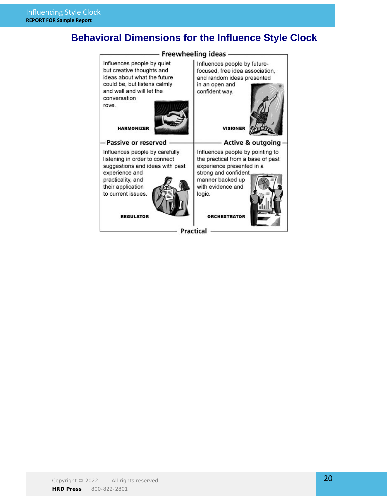# **Behavioral Dimensions for the Influence Style Clock**

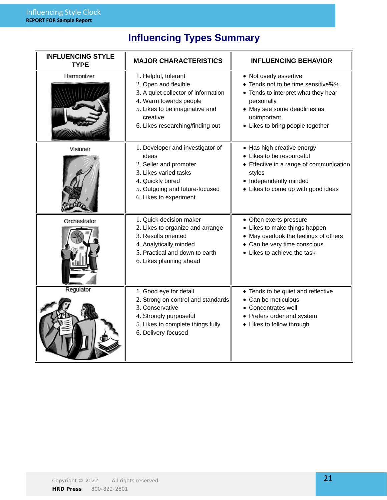# **Influencing Types Summary**

| <b>INFLUENCING STYLE</b><br><b>TYPE</b> | <b>MAJOR CHARACTERISTICS</b>                                                                                                                                                                    | <b>INFLUENCING BEHAVIOR</b>                                                                                                                                                                         |  |
|-----------------------------------------|-------------------------------------------------------------------------------------------------------------------------------------------------------------------------------------------------|-----------------------------------------------------------------------------------------------------------------------------------------------------------------------------------------------------|--|
| Harmonizer                              | 1. Helpful, tolerant<br>2. Open and flexible<br>3. A quiet collector of information<br>4. Warm towards people<br>5. Likes to be imaginative and<br>creative<br>6. Likes researching/finding out | • Not overly assertive<br>• Tends not to be time sensitive%%<br>• Tends to interpret what they hear<br>personally<br>• May see some deadlines as<br>unimportant<br>• Likes to bring people together |  |
| Visioner                                | 1. Developer and investigator of<br>ideas<br>2. Seller and promoter<br>3. Likes varied tasks<br>4. Quickly bored<br>5. Outgoing and future-focused<br>6. Likes to experiment                    | • Has high creative energy<br>• Likes to be resourceful<br>• Effective in a range of communication<br>styles<br>• Independently minded<br>• Likes to come up with good ideas                        |  |
| Orchestrator                            | 1. Quick decision maker<br>2. Likes to organize and arrange<br>3. Results oriented<br>4. Analytically minded<br>5. Practical and down to earth<br>6. Likes planning ahead                       | • Often exerts pressure<br>• Likes to make things happen<br>• May overlook the feelings of others<br>• Can be very time conscious<br>• Likes to achieve the task                                    |  |
| Regulator                               | 1. Good eye for detail<br>2. Strong on control and standards<br>3. Conservative<br>4. Strongly purposeful<br>5. Likes to complete things fully<br>6. Delivery-focused                           | • Tends to be quiet and reflective<br>• Can be meticulous<br>• Concentrates well<br>• Prefers order and system<br>• Likes to follow through                                                         |  |